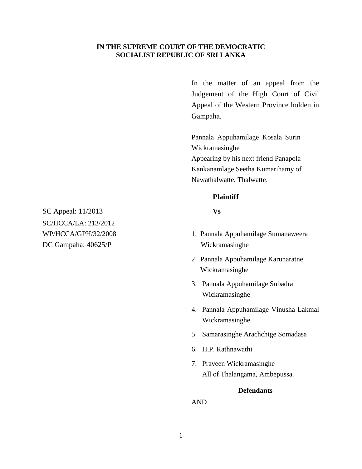# **IN THE SUPREME COURT OF THE DEMOCRATIC SOCIALIST REPUBLIC OF SRI LANKA**

In the matter of an appeal from the Judgement of the High Court of Civil Appeal of the Western Province holden in Gampaha.

Pannala Appuhamilage Kosala Surin Wickramasinghe Appearing by his next friend Panapola Kankanamlage Seetha Kumarihamy of Nawathalwatte, Thalwatte.

## **Plaintiff**

- WP/HCCA/GPH/32/2008 1. Pannala Appuhamilage Sumanaweera
	- 2. Pannala Appuhamilage Karunaratne Wickramasinghe
	- 3. Pannala Appuhamilage Subadra Wickramasinghe
	- 4. Pannala Appuhamilage Vinusha Lakmal Wickramasinghe
	- 5. Samarasinghe Arachchige Somadasa
	- 6. H.P. Rathnawathi
	- 7. Praveen Wickramasinghe All of Thalangama, Ambepussa.

## **Defendants**

AND

SC Appeal: 11/2013 **Vs** SC/HCCA/LA: 213/2012 DC Gampaha: 40625/P Wickramasinghe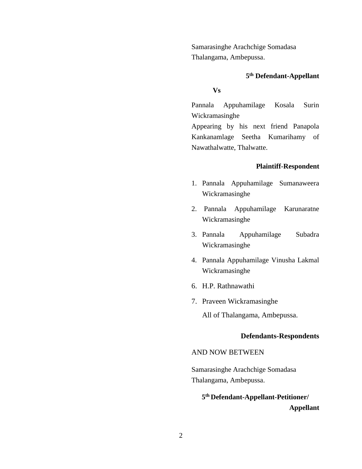Samarasinghe Arachchige Somadasa Thalangama, Ambepussa.

# **5 th Defendant-Appellant**

# **Vs**

Pannala Appuhamilage Kosala Surin Wickramasinghe

Appearing by his next friend Panapola Kankanamlage Seetha Kumarihamy of Nawathalwatte, Thalwatte.

#### **Plaintiff-Respondent**

- 1. Pannala Appuhamilage Sumanaweera Wickramasinghe
- 2. Pannala Appuhamilage Karunaratne Wickramasinghe
- 3. Pannala Appuhamilage Subadra Wickramasinghe
- 4. Pannala Appuhamilage Vinusha Lakmal Wickramasinghe
- 6. H.P. Rathnawathi
- 7. Praveen Wickramasinghe

All of Thalangama, Ambepussa.

#### **Defendants-Respondents**

### AND NOW BETWEEN

Samarasinghe Arachchige Somadasa Thalangama, Ambepussa.

**5 th Defendant-Appellant-Petitioner/ Appellant**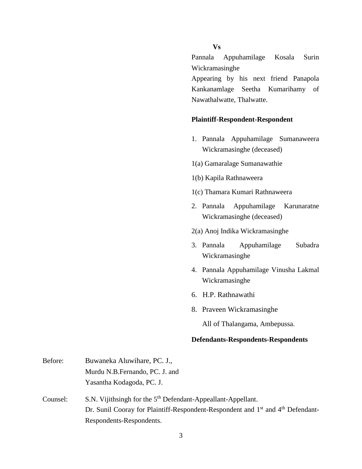# **Vs**

Pannala Appuhamilage Kosala Surin Wickramasinghe

Appearing by his next friend Panapola Kankanamlage Seetha Kumarihamy of Nawathalwatte, Thalwatte.

#### **Plaintiff-Respondent-Respondent**

- 1. Pannala Appuhamilage Sumanaweera Wickramasinghe (deceased)
- 1(a) Gamaralage Sumanawathie
- 1(b) Kapila Rathnaweera
- 1(c) Thamara Kumari Rathnaweera
- 2. Pannala Appuhamilage Karunaratne Wickramasinghe (deceased)
- 2(a) Anoj Indika Wickramasinghe
- 3. Pannala Appuhamilage Subadra Wickramasinghe
- 4. Pannala Appuhamilage Vinusha Lakmal Wickramasinghe
- 6. H.P. Rathnawathi
- 8. Praveen Wickramasinghe

All of Thalangama, Ambepussa.

#### **Defendants-Respondents-Respondents**

| Before:  | Buwaneka Aluwihare, PC. J.,                                                                             |  |  |
|----------|---------------------------------------------------------------------------------------------------------|--|--|
|          | Murdu N.B.Fernando, PC. J. and                                                                          |  |  |
|          | Yasantha Kodagoda, PC. J.                                                                               |  |  |
| Counsel: | S.N. Vijithsingh for the 5 <sup>th</sup> Defendant-Appeallant-Appellant.                                |  |  |
|          | Dr. Sunil Cooray for Plaintiff-Respondent-Respondent and 1 <sup>st</sup> and 4 <sup>th</sup> Defendant- |  |  |
|          | Respondents-Respondents.                                                                                |  |  |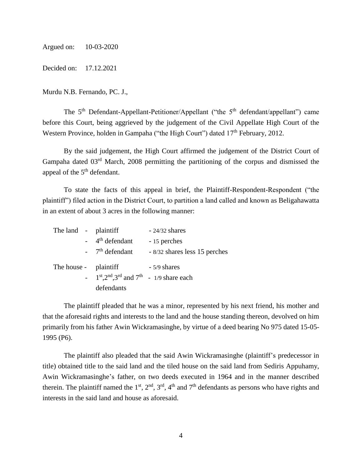Argued on: 10-03-2020

Decided on: 17.12.2021

Murdu N.B. Fernando, PC. J.,

The  $5<sup>th</sup>$  Defendant-Appellant-Petitioner/Appellant ("the  $5<sup>th</sup>$  defendant/appellant") came before this Court, being aggrieved by the judgement of the Civil Appellate High Court of the Western Province, holden in Gampaha ("the High Court") dated 17<sup>th</sup> February, 2012.

By the said judgement, the High Court affirmed the judgement of the District Court of Gampaha dated 03rd March, 2008 permitting the partitioning of the corpus and dismissed the appeal of the  $5<sup>th</sup>$  defendant.

To state the facts of this appeal in brief, the Plaintiff-Respondent-Respondent ("the plaintiff") filed action in the District Court, to partition a land called and known as Beligahawatta in an extent of about 3 acres in the following manner:

| The land - plaintiff  |  |                                              | $-24/32$ shares               |
|-----------------------|--|----------------------------------------------|-------------------------------|
|                       |  | $-4$ <sup>th</sup> defendant                 | - 15 perches                  |
|                       |  | $-7th$ defendant                             | - 8/32 shares less 15 perches |
| The house - plaintiff |  |                                              | $-5/9$ shares                 |
|                       |  | - $1st, 2nd, 3rd$ and $7th$ - 1/9 share each |                               |
|                       |  | defendants                                   |                               |

The plaintiff pleaded that he was a minor, represented by his next friend, his mother and that the aforesaid rights and interests to the land and the house standing thereon, devolved on him primarily from his father Awin Wickramasinghe, by virtue of a deed bearing No 975 dated 15-05- 1995 (P6).

The plaintiff also pleaded that the said Awin Wickramasinghe (plaintiff's predecessor in title) obtained title to the said land and the tiled house on the said land from Sediris Appuhamy, Awin Wickramasinghe's father, on two deeds executed in 1964 and in the manner described therein. The plaintiff named the  $1<sup>st</sup>$ ,  $2<sup>nd</sup>$ ,  $3<sup>rd</sup>$ ,  $4<sup>th</sup>$  and  $7<sup>th</sup>$  defendants as persons who have rights and interests in the said land and house as aforesaid.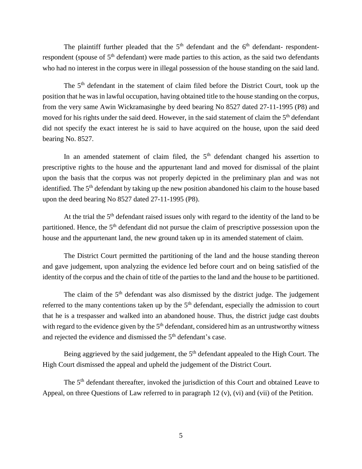The plaintiff further pleaded that the  $5<sup>th</sup>$  defendant and the  $6<sup>th</sup>$  defendant-respondentrespondent (spouse of 5<sup>th</sup> defendant) were made parties to this action, as the said two defendants who had no interest in the corpus were in illegal possession of the house standing on the said land.

The 5<sup>th</sup> defendant in the statement of claim filed before the District Court, took up the position that he was in lawful occupation, having obtained title to the house standing on the corpus, from the very same Awin Wickramasinghe by deed bearing No 8527 dated 27-11-1995 (P8) and moved for his rights under the said deed. However, in the said statement of claim the 5<sup>th</sup> defendant did not specify the exact interest he is said to have acquired on the house, upon the said deed bearing No. 8527.

In an amended statement of claim filed, the  $5<sup>th</sup>$  defendant changed his assertion to prescriptive rights to the house and the appurtenant land and moved for dismissal of the plaint upon the basis that the corpus was not properly depicted in the preliminary plan and was not identified. The 5<sup>th</sup> defendant by taking up the new position abandoned his claim to the house based upon the deed bearing No 8527 dated 27-11-1995 (P8).

At the trial the  $5<sup>th</sup>$  defendant raised issues only with regard to the identity of the land to be partitioned. Hence, the 5<sup>th</sup> defendant did not pursue the claim of prescriptive possession upon the house and the appurtenant land, the new ground taken up in its amended statement of claim.

The District Court permitted the partitioning of the land and the house standing thereon and gave judgement, upon analyzing the evidence led before court and on being satisfied of the identity of the corpus and the chain of title of the parties to the land and the house to be partitioned.

The claim of the  $5<sup>th</sup>$  defendant was also dismissed by the district judge. The judgement referred to the many contentions taken up by the  $5<sup>th</sup>$  defendant, especially the admission to court that he is a trespasser and walked into an abandoned house. Thus, the district judge cast doubts with regard to the evidence given by the 5<sup>th</sup> defendant, considered him as an untrustworthy witness and rejected the evidence and dismissed the 5<sup>th</sup> defendant's case.

Being aggrieved by the said judgement, the 5<sup>th</sup> defendant appealed to the High Court. The High Court dismissed the appeal and upheld the judgement of the District Court.

The 5<sup>th</sup> defendant thereafter, invoked the jurisdiction of this Court and obtained Leave to Appeal, on three Questions of Law referred to in paragraph 12 (v), (vi) and (vii) of the Petition.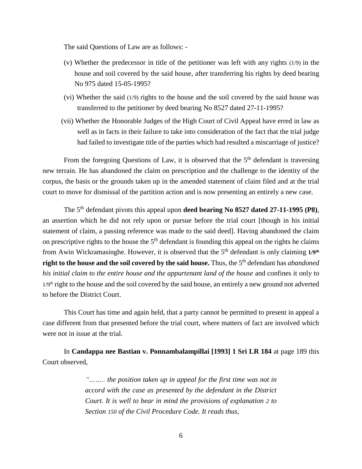The said Questions of Law are as follows: -

- (v) Whether the predecessor in title of the petitioner was left with any rights (1/9) in the house and soil covered by the said house, after transferring his rights by deed bearing No 975 dated 15-05-1995?
- (vi) Whether the said (1/9) rights to the house and the soil covered by the said house was transferred to the petitioner by deed bearing No 8527 dated 27-11-1995?
- (vii) Whether the Honorable Judges of the High Court of Civil Appeal have erred in law as well as in facts in their failure to take into consideration of the fact that the trial judge had failed to investigate title of the parties which had resulted a miscarriage of justice?

From the foregoing Questions of Law, it is observed that the  $5<sup>th</sup>$  defendant is traversing new terrain. He has abandoned the claim on prescription and the challenge to the identity of the corpus, the basis or the grounds taken up in the amended statement of claim filed and at the trial court to move for dismissal of the partition action and is now presenting an entirely a new case.

The 5th defendant pivots this appeal upon **deed bearing No 8527 dated 27-11-1995 (P8)**, an assertion which he did not rely upon or pursue before the trial court [though in his initial statement of claim, a passing reference was made to the said deed]. Having abandoned the claim on prescriptive rights to the house the  $5<sup>th</sup>$  defendant is founding this appeal on the rights he claims from Awin Wickramasinghe. However, it is observed that the 5th defendant is only claiming **1/9th right to the house and the soil covered by the said house.** Thus, the 5th defendant has *abandoned his initial claim to the entire house and the appurtenant land of the house* and confines it only to 1/9<sup>th</sup> right to the house and the soil covered by the said house, an entirely a new ground not adverted to before the District Court.

This Court has time and again held, that a party cannot be permitted to present in appeal a case different from that presented before the trial court, where matters of fact are involved which were not in issue at the trial.

In **Candappa nee Bastian v. Ponnambalampillai [1993] 1 Sri LR 184** at page 189 this Court observed,

> *"…….. the position taken up in appeal for the first time was not in accord with the case as presented by the defendant in the District Court. It is well to bear in mind the provisions of explanation 2 to Section 150 of the Civil Procedure Code. It reads thus,*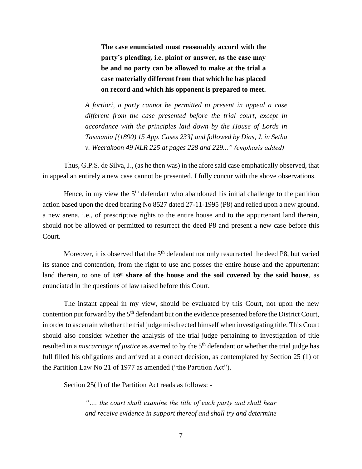**The case enunciated must reasonably accord with the party's pleading. i.e. plaint or answer, as the case may be and no party can be allowed to make at the trial a case materially different from that which he has placed on record and which his opponent is prepared to meet.**

*A fortiori, a party cannot be permitted to present in appeal a case different from the case presented before the trial court, except in accordance with the principles laid down by the House of Lords in Tasmania [(1890) 15 App. Cases 233] and followed by Dias, J. in Setha v. Weerakoon 49 NLR 225 at pages 228 and 229..." (emphasis added)*

Thus, G.P.S. de Silva, J., (as he then was) in the afore said case emphatically observed, that in appeal an entirely a new case cannot be presented. I fully concur with the above observations.

Hence, in my view the  $5<sup>th</sup>$  defendant who abandoned his initial challenge to the partition action based upon the deed bearing No 8527 dated 27-11-1995 (P8) and relied upon a new ground, a new arena, i.e., of prescriptive rights to the entire house and to the appurtenant land therein, should not be allowed or permitted to resurrect the deed P8 and present a new case before this Court.

Moreover, it is observed that the  $5<sup>th</sup>$  defendant not only resurrected the deed P8, but varied its stance and contention, from the right to use and posses the entire house and the appurtenant land therein, to one of 1/9<sup>th</sup> share of the house and the soil covered by the said house, as enunciated in the questions of law raised before this Court.

The instant appeal in my view, should be evaluated by this Court, not upon the new contention put forward by the 5<sup>th</sup> defendant but on the evidence presented before the District Court, in order to ascertain whether the trial judge misdirected himself when investigating title. This Court should also consider whether the analysis of the trial judge pertaining to investigation of title resulted in a *miscarriage of justice* as averred to by the 5<sup>th</sup> defendant or whether the trial judge has full filled his obligations and arrived at a correct decision, as contemplated by Section 25 (1) of the Partition Law No 21 of 1977 as amended ("the Partition Act").

Section 25(1) of the Partition Act reads as follows: -

*"…. the court shall examine the title of each party and shall hear and receive evidence in support thereof and shall try and determine*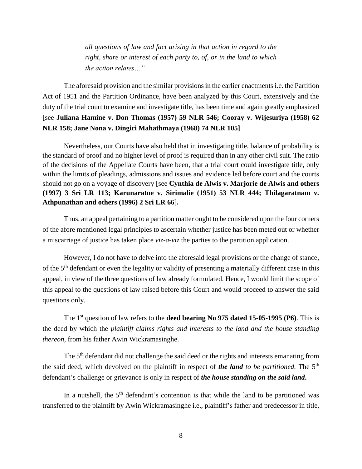*all questions of law and fact arising in that action in regard to the right, share or interest of each party to, of, or in the land to which the action relates…"*

The aforesaid provision and the similar provisions in the earlier enactments i.e. the Partition Act of 1951 and the Partition Ordinance, have been analyzed by this Court, extensively and the duty of the trial court to examine and investigate title, has been time and again greatly emphasized [see **Juliana Hamine v. Don Thomas (1957) 59 NLR 546; Cooray v. Wijesuriya (1958) 62 NLR 158; Jane Nona v. Dingiri Mahathmaya (1968) 74 NLR 105]**

Nevertheless, our Courts have also held that in investigating title, balance of probability is the standard of proof and no higher level of proof is required than in any other civil suit. The ratio of the decisions of the Appellate Courts have been, that a trial court could investigate title, only within the limits of pleadings, admissions and issues and evidence led before court and the courts should not go on a voyage of discovery [see **Cynthia de Alwis v. Marjorie de Alwis and others (1997) 3 Sri LR 113; Karunaratne v. Sirimalie (1951) 53 NLR 444; Thilagaratnam v. Athpunathan and others (1996) 2 Sri LR 66**]**.**

Thus, an appeal pertaining to a partition matter ought to be considered upon the four corners of the afore mentioned legal principles to ascertain whether justice has been meted out or whether a miscarriage of justice has taken place *viz-a-viz* the parties to the partition application.

However, I do not have to delve into the aforesaid legal provisions or the change of stance, of the 5th defendant or even the legality or validity of presenting a materially different case in this appeal, in view of the three questions of law already formulated. Hence, I would limit the scope of this appeal to the questions of law raised before this Court and would proceed to answer the said questions only.

The 1st question of law refers to the **deed bearing No 975 dated 15-05-1995 (P6)**. This is the deed by which the *plaintiff claims rights and interests to the land and the house standing thereon*, from his father Awin Wickramasinghe.

The 5<sup>th</sup> defendant did not challenge the said deed or the rights and interests emanating from the said deed, which devolved on the plaintiff in respect of *the land to be partitioned.* The 5th defendant's challenge or grievance is only in respect of *the house standing on the said land***.**

In a nutshell, the  $5<sup>th</sup>$  defendant's contention is that while the land to be partitioned was transferred to the plaintiff by Awin Wickramasinghe i.e., plaintiff's father and predecessor in title,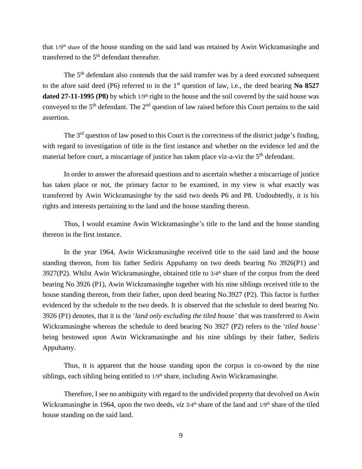that 1/9th share of the house standing on the said land was retained by Awin Wickramasinghe and transferred to the  $5<sup>th</sup>$  defendant thereafter.

The 5<sup>th</sup> defendant also contends that the said transfer was by a deed executed subsequent to the afore said deed (P6) referred to in the 1st question of law, i.e., the deed bearing **No 8527 dated 27-11-1995 (P8)** by which 1/9<sup>th</sup> right to the house and the soil covered by the said house was conveyed to the 5<sup>th</sup> defendant. The 2<sup>nd</sup> question of law raised before this Court pertains to the said assertion.

The 3<sup>rd</sup> question of law posed to this Court is the correctness of the district judge's finding, with regard to investigation of title in the first instance and whether on the evidence led and the material before court, a miscarriage of justice has taken place viz-a-viz the 5<sup>th</sup> defendant.

In order to answer the aforesaid questions and to ascertain whether a miscarriage of justice has taken place or not, the primary factor to be examined, in my view is what exactly was transferred by Awin Wickramasinghe by the said two deeds P6 and P8. Undoubtedly, it is his rights and interests pertaining to the land and the house standing thereon.

Thus, I would examine Awin Wickramasinghe's title to the land and the house standing thereon in the first instance.

In the year 1964, Awin Wickramasinghe received title to the said land and the house standing thereon, from his father Sediris Appuhamy on two deeds bearing No 3926(P1) and 3927(P2). Whilst Awin Wickramasinghe, obtained title to 3/4<sup>th</sup> share of the corpus from the deed bearing No 3926 (P1), Awin Wickramasinghe together with his nine siblings received title to the house standing thereon, from their father, upon deed bearing No.3927 (P2). This factor is further evidenced by the schedule to the two deeds. It is observed that the schedule to deed bearing No. 3926 (P1) denotes, that it is the '*land only excluding the tiled house'* that was transferred to Awin Wickramasinghe whereas the schedule to deed bearing No 3927 (P2) refers to the '*tiled house'* being bestowed upon Awin Wickramasinghe and his nine siblings by their father, Sediris Appuhamy.

Thus, it is apparent that the house standing upon the corpus is co-owned by the nine siblings, each sibling being entitled to  $1/9<sup>th</sup>$  share, including Awin Wickramasinghe.

Therefore, I see no ambiguity with regard to the undivided property that devolved on Awin Wickramasinghe in 1964, upon the two deeds, *viz*  $3/4^{\text{th}}$  share of the land and  $1/9^{\text{th}}$  share of the tiled house standing on the said land.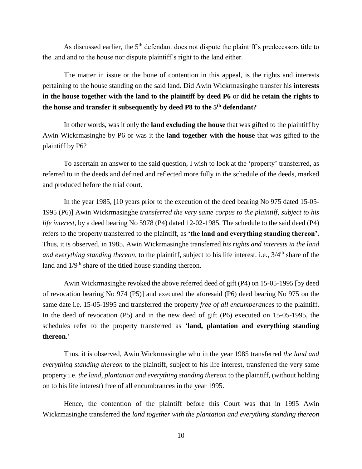As discussed earlier, the  $5<sup>th</sup>$  defendant does not dispute the plaintiff's predecessors title to the land and to the house nor dispute plaintiff's right to the land either.

The matter in issue or the bone of contention in this appeal, is the rights and interests pertaining to the house standing on the said land. Did Awin Wickrmasinghe transfer his **interests in the house together with the land to the plaintiff by deed P6** or **did he retain the rights to the house and transfer it subsequently by deed P8 to the 5th defendant?**

In other words, was it only the **land excluding the house** that was gifted to the plaintiff by Awin Wickrmasinghe by P6 or was it the **land together with the house** that was gifted to the plaintiff by P6?

To ascertain an answer to the said question, I wish to look at the 'property' transferred, as referred to in the deeds and defined and reflected more fully in the schedule of the deeds, marked and produced before the trial court.

In the year 1985, [10 years prior to the execution of the deed bearing No 975 dated 15-05- 1995 (P6)] Awin Wickrmasinghe *transferred the very same corpus to the plaintiff*, *subject to his life interest,* by a deed bearing No 5978 (P4) dated 12-02-1985. The schedule to the said deed (P4) refers to the property transferred to the plaintiff, as **'the land and everything standing thereon'.** Thus, it is observed, in 1985, Awin Wickrmasinghe transferred *his rights and interests in the land and everything standing thereon*, to the plaintiff, subject to his life interest. i.e., 3/4<sup>th</sup> share of the land and  $1/9<sup>th</sup>$  share of the titled house standing thereon.

Awin Wickrmasinghe revoked the above referred deed of gift (P4) on 15-05-1995 [by deed of revocation bearing No 974 (P5)] and executed the aforesaid (P6) deed bearing No 975 on the same date i.e. 15-05-1995 and transferred the property *free of all encumberances* to the plaintiff. In the deed of revocation (P5) and in the new deed of gift (P6) executed on 15-05-1995, the schedules refer to the property transferred as '**land, plantation and everything standing thereon**.'

Thus, it is observed, Awin Wickrmasinghe who in the year 1985 transferred *the land and everything standing thereon* to the plaintiff, subject to his life interest, transferred the very same property i.e. *the land, plantation and everything standing thereon* to the plaintiff, (without holding on to his life interest) free of all encumbrances in the year 1995.

Hence, the contention of the plaintiff before this Court was that in 1995 Awin Wickrmasinghe transferred the *land together with the plantation and everything standing thereon*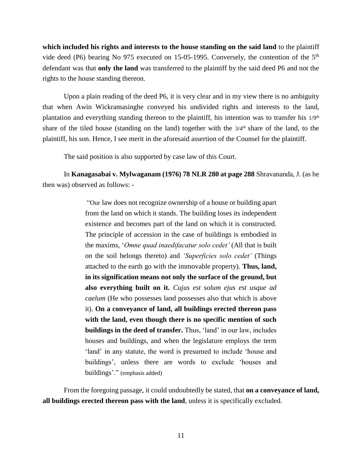**which included his rights and interests to the house standing on the said land** to the plaintiff vide deed (P6) bearing No 975 executed on 15-05-1995. Conversely, the contention of the 5th defendant was that **only the land** was transferred to the plaintiff by the said deed P6 and not the rights to the house standing thereon.

Upon a plain reading of the deed P6, it is very clear and in my view there is no ambiguity that when Awin Wickramasinghe conveyed his undivided rights and interests to the land, plantation and everything standing thereon to the plaintiff, his intention was to transfer his  $1/9<sup>th</sup>$ share of the tiled house (standing on the land) together with the  $3/4<sup>th</sup>$  share of the land, to the plaintiff, his son. Hence, I see merit in the aforesaid assertion of the Counsel for the plaintiff.

The said position is also supported by case law of this Court.

In **Kanagasabai v. Mylwaganam (1976) 78 NLR 280 at page 288** Shravananda, J. (as he then was) observed as follows: -

> "Our law does not recognize ownership of a house or building apart from the land on which it stands. The building loses its independent existence and becomes part of the land on which it is constructed. The principle of accession in the case of buildings is embodied in the maxims, '*Omne quad inaedifacatur solo cedet'* (All that is built on the soil belongs thereto) and *'Superficies solo cedet'* (Things attached to the earth go with the immovable property). **Thus, land, in its signification means not only the surface of the ground, but also everything built on it.** *Cujus est solum ejus est usque ad caelum* (He who possesses land possesses also that which is above it). **On a conveyance of land, all buildings erected thereon pass with the land, even though there is no specific mention of such buildings in the deed of transfer.** Thus, 'land' in our law, includes houses and buildings, and when the legislature employs the term 'land' in any statute, the word is presumed to include 'house and buildings', unless there are words to exclude 'houses and buildings'." (emphasis added)

From the foregoing passage, it could undoubtedly be stated, that **on a conveyance of land, all buildings erected thereon pass with the land**, unless it is specifically excluded.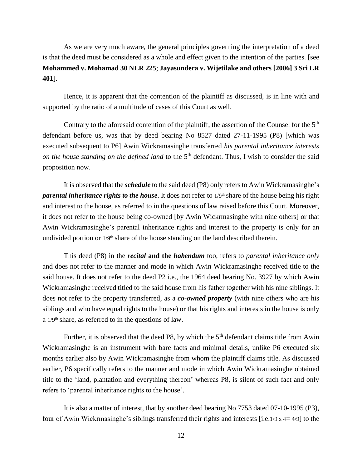As we are very much aware, the general principles governing the interpretation of a deed is that the deed must be considered as a whole and effect given to the intention of the parties. [see **Mohammed v. Mohamad 30 NLR 225**; **Jayasundera v. Wijetilake and others [2006] 3 Sri LR 401**].

Hence, it is apparent that the contention of the plaintiff as discussed, is in line with and supported by the ratio of a multitude of cases of this Court as well.

Contrary to the aforesaid contention of the plaintiff, the assertion of the Counsel for the 5<sup>th</sup> defendant before us, was that by deed bearing No 8527 dated 27-11-1995 (P8) [which was executed subsequent to P6] Awin Wickramasinghe transferred *his parental inheritance interests on the house standing on the defined land* to the 5<sup>th</sup> defendant. Thus, I wish to consider the said proposition now.

It is observed that the *schedule* to the said deed (P8) only refers to Awin Wickramasinghe's *parental inheritance rights to the house*. It does not refer to  $1/9$ <sup>th</sup> share of the house being his right and interest to the house, as referred to in the questions of law raised before this Court. Moreover, it does not refer to the house being co-owned [by Awin Wickrmasinghe with nine others] or that Awin Wickramasinghe's parental inheritance rights and interest to the property is only for an undivided portion or  $1/9<sup>th</sup>$  share of the house standing on the land described therein.

This deed (P8) in the *recital* **and the** *habendum* too, refers to *parental inheritance only* and does not refer to the manner and mode in which Awin Wickramasinghe received title to the said house. It does not refer to the deed P2 i.e., the 1964 deed bearing No. 3927 by which Awin Wickramasinghe received titled to the said house from his father together with his nine siblings. It does not refer to the property transferred, as a *co-owned property* (with nine others who are his siblings and who have equal rights to the house) or that his rights and interests in the house is only a 1/9th share, as referred to in the questions of law.

Further, it is observed that the deed P8, by which the  $5<sup>th</sup>$  defendant claims title from Awin Wickramasinghe is an instrument with bare facts and minimal details, unlike P6 executed six months earlier also by Awin Wickramasinghe from whom the plaintiff claims title. As discussed earlier, P6 specifically refers to the manner and mode in which Awin Wickramasinghe obtained title to the 'land, plantation and everything thereon' whereas P8, is silent of such fact and only refers to 'parental inheritance rights to the house'.

It is also a matter of interest, that by another deed bearing No 7753 dated 07-10-1995 (P3), four of Awin Wickrmasinghe's siblings transferred their rights and interests [i.e.1/9 x 4= 4/9] to the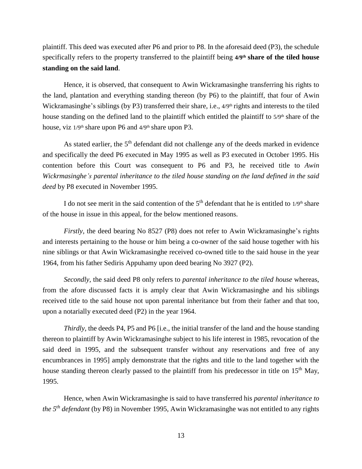plaintiff. This deed was executed after P6 and prior to P8. In the aforesaid deed (P3), the schedule specifically refers to the property transferred to the plaintiff being **4/9th share of the tiled house standing on the said land**.

Hence, it is observed, that consequent to Awin Wickramasinghe transferring his rights to the land, plantation and everything standing thereon (by P6) to the plaintiff, that four of Awin Wickramasinghe's siblings (by P3) transferred their share, i.e.,  $4/9<sup>th</sup>$  rights and interests to the tiled house standing on the defined land to the plaintiff which entitled the plaintiff to 5/9th share of the house, viz  $1/9$ <sup>th</sup> share upon P6 and  $4/9$ <sup>th</sup> share upon P3.

As stated earlier, the  $5<sup>th</sup>$  defendant did not challenge any of the deeds marked in evidence and specifically the deed P6 executed in May 1995 as well as P3 executed in October 1995. His contention before this Court was consequent to P6 and P3, he received title to *Awin Wickrmasinghe's parental inheritance to the tiled house standing on the land defined in the said deed* by P8 executed in November 1995.

I do not see merit in the said contention of the  $5<sup>th</sup>$  defendant that he is entitled to  $1/9<sup>th</sup>$  share of the house in issue in this appeal, for the below mentioned reasons.

*Firstly*, the deed bearing No 8527 (P8) does not refer to Awin Wickramasinghe's rights and interests pertaining to the house or him being a co-owner of the said house together with his nine siblings or that Awin Wickramasinghe received co-owned title to the said house in the year 1964, from his father Sediris Appuhamy upon deed bearing No 3927 (P2).

*Secondly,* the said deed P8 only refers to *parental inheritance to the tiled house* whereas, from the afore discussed facts it is amply clear that Awin Wickramasinghe and his siblings received title to the said house not upon parental inheritance but from their father and that too, upon a notarially executed deed (P2) in the year 1964.

*Thirdly,* the deeds P4, P5 and P6 [i.e., the initial transfer of the land and the house standing thereon to plaintiff by Awin Wickramasinghe subject to his life interest in 1985, revocation of the said deed in 1995, and the subsequent transfer without any reservations and free of any encumbrances in 1995] amply demonstrate that the rights and title to the land together with the house standing thereon clearly passed to the plaintiff from his predecessor in title on  $15<sup>th</sup>$  May, 1995.

Hence, when Awin Wickramasinghe is said to have transferred his *parental inheritance to the 5 th defendant* (by P8) in November 1995, Awin Wickramasinghe was not entitled to any rights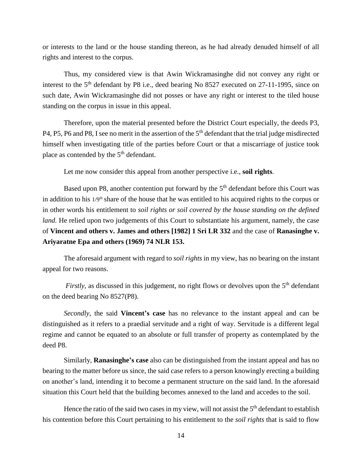or interests to the land or the house standing thereon, as he had already denuded himself of all rights and interest to the corpus.

Thus, my considered view is that Awin Wickramasinghe did not convey any right or interest to the 5<sup>th</sup> defendant by P8 i.e., deed bearing No 8527 executed on 27-11-1995, since on such date, Awin Wickramasinghe did not posses or have any right or interest to the tiled house standing on the corpus in issue in this appeal.

Therefore, upon the material presented before the District Court especially, the deeds P3, P4, P5, P6 and P8, I see no merit in the assertion of the 5<sup>th</sup> defendant that the trial judge misdirected himself when investigating title of the parties before Court or that a miscarriage of justice took place as contended by the  $5<sup>th</sup>$  defendant.

Let me now consider this appeal from another perspective i.e., **soil rights**.

Based upon P8, another contention put forward by the 5<sup>th</sup> defendant before this Court was in addition to his 1/9<sup>th</sup> share of the house that he was entitled to his acquired rights to the corpus or in other words his entitlement to *soil rights or soil covered by the house standing on the defined land.* He relied upon two judgements of this Court to substantiate his argument, namely, the case of **Vincent and others v. James and others [1982] 1 Sri LR 332** and the case of **Ranasinghe v. Ariyaratne Epa and others (1969) 74 NLR 153.**

The aforesaid argument with regard to *soil rights* in my view, has no bearing on the instant appeal for two reasons.

*Firstly*, as discussed in this judgement, no right flows or devolves upon the 5<sup>th</sup> defendant on the deed bearing No 8527(P8).

*Secondly*, the said **Vincent's case** has no relevance to the instant appeal and can be distinguished as it refers to a praedial servitude and a right of way. Servitude is a different legal regime and cannot be equated to an absolute or full transfer of property as contemplated by the deed P8.

Similarly, **Ranasinghe's case** also can be distinguished from the instant appeal and has no bearing to the matter before us since, the said case refers to a person knowingly erecting a building on another's land, intending it to become a permanent structure on the said land. In the aforesaid situation this Court held that the building becomes annexed to the land and accedes to the soil.

Hence the ratio of the said two cases in my view, will not assist the  $5<sup>th</sup>$  defendant to establish his contention before this Court pertaining to his entitlement to the *soil rights* that is said to flow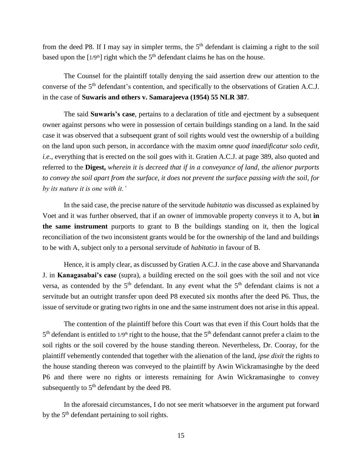from the deed P8. If I may say in simpler terms, the  $5<sup>th</sup>$  defendant is claiming a right to the soil based upon the  $[1/9<sup>th</sup>]$  right which the 5<sup>th</sup> defendant claims he has on the house.

The Counsel for the plaintiff totally denying the said assertion drew our attention to the converse of the 5<sup>th</sup> defendant's contention, and specifically to the observations of Gratien A.C.J. in the case of **Suwaris and others v. Samarajeeva (1954) 55 NLR 387**.

The said **Suwaris's case**, pertains to a declaration of title and ejectment by a subsequent owner against persons who were in possession of certain buildings standing on a land. In the said case it was observed that a subsequent grant of soil rights would vest the ownership of a building on the land upon such person, in accordance with the maxim *omne quod inaedificatur solo cedit, i.e.*, everything that is erected on the soil goes with it. Gratien A.C.J. at page 389, also quoted and referred to the **Digest,** *wherein it is decreed that if in a conveyance of land, the alienor purports to convey the soil apart from the surface, it does not prevent the surface passing with the soil, for by its nature it is one with it.'*

In the said case, the precise nature of the servitude *habitatio* was discussed as explained by Voet and it was further observed, that if an owner of immovable property conveys it to A, but **in the same instrument** purports to grant to B the buildings standing on it, then the logical reconciliation of the two inconsistent grants would be for the ownership of the land and buildings to be with A, subject only to a personal servitude of *habitatio* in favour of B.

Hence, it is amply clear, as discussed by Gratien A.C.J. in the case above and Sharvananda J. in **Kanagasabai's case** (supra), a building erected on the soil goes with the soil and not vice versa, as contended by the  $5<sup>th</sup>$  defendant. In any event what the  $5<sup>th</sup>$  defendant claims is not a servitude but an outright transfer upon deed P8 executed six months after the deed P6. Thus, the issue of servitude or grating two rights in one and the same instrument does not arise in this appeal.

The contention of the plaintiff before this Court was that even if this Court holds that the  $5<sup>th</sup>$  defendant is entitled to 1/9<sup>th</sup> right to the house, that the  $5<sup>th</sup>$  defendant cannot prefer a claim to the soil rights or the soil covered by the house standing thereon. Nevertheless, Dr. Cooray, for the plaintiff vehemently contended that together with the alienation of the land, *ipse dixit* the rights to the house standing thereon was conveyed to the plaintiff by Awin Wickramasinghe by the deed P6 and there were no rights or interests remaining for Awin Wickramasinghe to convey subsequently to  $5<sup>th</sup>$  defendant by the deed P8.

In the aforesaid circumstances, I do not see merit whatsoever in the argument put forward by the  $5<sup>th</sup>$  defendant pertaining to soil rights.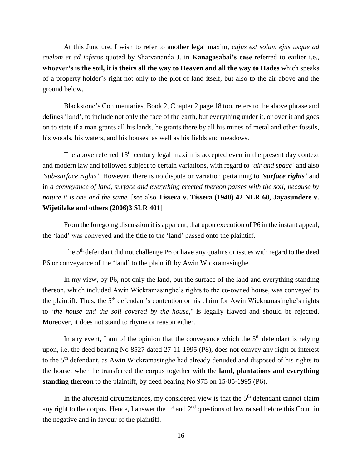At this Juncture, I wish to refer to another legal maxim, *cujus est solum ejus usque ad coelom et ad inferos* quoted by Sharvananda J. in **Kanagasabai's case** referred to earlier i.e., **whoever's is the soil, it is theirs all the way to Heaven and all the way to Hades** which speaks of a property holder's right not only to the plot of land itself, but also to the air above and the ground below.

Blackstone's Commentaries, Book 2, Chapter 2 page 18 too, refers to the above phrase and defines 'land', to include not only the face of the earth, but everything under it, or over it and goes on to state if a man grants all his lands, he grants there by all his mines of metal and other fossils, his woods, his waters, and his houses, as well as his fields and meadows.

The above referred  $13<sup>th</sup>$  century legal maxim is accepted even in the present day context and modern law and followed subject to certain variations, with regard to '*air and space'* and also *'sub-surface rights'*. However, there is no dispute or variation pertaining to *'surface rights'* and in *a conveyance of land, surface and everything erected thereon passes with the soil, because by nature it is one and the same.* [see also **Tissera v. Tissera (1940) 42 NLR 60, Jayasundere v. Wijetilake and others (2006)3 SLR 401**]

From the foregoing discussion it is apparent, that upon execution of P6 in the instant appeal, the 'land' was conveyed and the title to the 'land' passed onto the plaintiff.

The 5<sup>th</sup> defendant did not challenge P6 or have any qualms or issues with regard to the deed P6 or conveyance of the 'land' to the plaintiff by Awin Wickramasinghe.

In my view, by P6, not only the land, but the surface of the land and everything standing thereon, which included Awin Wickramasinghe's rights to the co-owned house, was conveyed to the plaintiff. Thus, the  $5<sup>th</sup>$  defendant's contention or his claim for Awin Wickramasinghe's rights to '*the house and the soil covered by the house,*' is legally flawed and should be rejected. Moreover, it does not stand to rhyme or reason either.

In any event, I am of the opinion that the conveyance which the  $5<sup>th</sup>$  defendant is relying upon, i.e. the deed bearing No 8527 dated 27-11-1995 (P8), does not convey any right or interest to the 5<sup>th</sup> defendant, as Awin Wickramasinghe had already denuded and disposed of his rights to the house, when he transferred the corpus together with the **land, plantations and everything standing thereon** to the plaintiff, by deed bearing No 975 on 15-05-1995 (P6).

In the aforesaid circumstances, my considered view is that the  $5<sup>th</sup>$  defendant cannot claim any right to the corpus. Hence, I answer the  $1<sup>st</sup>$  and  $2<sup>nd</sup>$  questions of law raised before this Court in the negative and in favour of the plaintiff.